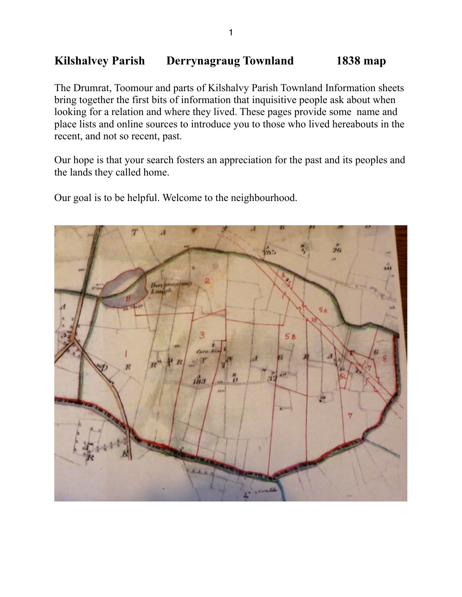## **Kilshalvey Parish Derrynagraug Townland 1838 map**

The Drumrat, Toomour and parts of Kilshalvy Parish Townland Information sheets bring together the first bits of information that inquisitive people ask about when looking for a relation and where they lived. These pages provide some name and place lists and online sources to introduce you to those who lived hereabouts in the recent, and not so recent, past.

Our hope is that your search fosters an appreciation for the past and its peoples and the lands they called home.

Our goal is to be helpful. Welcome to the neighbourhood.

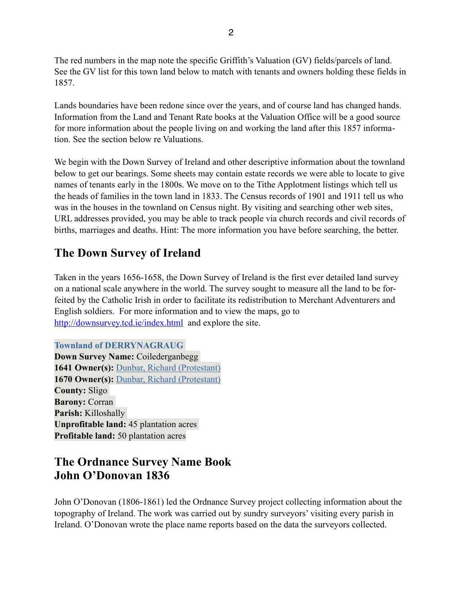The red numbers in the map note the specific Griffith's Valuation (GV) fields/parcels of land. See the GV list for this town land below to match with tenants and owners holding these fields in 1857.

Lands boundaries have been redone since over the years, and of course land has changed hands. Information from the Land and Tenant Rate books at the Valuation Office will be a good source for more information about the people living on and working the land after this 1857 information. See the section below re Valuations.

We begin with the Down Survey of Ireland and other descriptive information about the townland below to get our bearings. Some sheets may contain estate records we were able to locate to give names of tenants early in the 1800s. We move on to the Tithe Applotment listings which tell us the heads of families in the town land in 1833. The Census records of 1901 and 1911 tell us who was in the houses in the townland on Census night. By visiting and searching other web sites, URL addresses provided, you may be able to track people via church records and civil records of births, marriages and deaths. Hint: The more information you have before searching, the better.

# **The Down Survey of Ireland**

Taken in the years 1656-1658, the Down Survey of Ireland is the first ever detailed land survey on a national scale anywhere in the world. The survey sought to measure all the land to be forfeited by the Catholic Irish in order to facilitate its redistribution to Merchant Adventurers and English soldiers. For more information and to view the maps, go to <http://downsurvey.tcd.ie/index.html>and explore the site.

**Townland of DERRYNAGRAUG Down Survey Name:** Coilederganbegg **1641 Owner(s):** [Dunbar, Richard \(Protestant\)](http://downsurvey.tcd.ie/landowners.php#l1=Dunbar,%20Richard) **1670 Owner(s):** [Dunbar, Richard \(Protestant\)](http://downsurvey.tcd.ie/landowners.php#l4=Dunbar,%20Richard) **County:** Sligo **Barony:** Corran **Parish:** Killoshally **Unprofitable land:** 45 plantation acres **Profitable land:** 50 plantation acres

# **The Ordnance Survey Name Book John O'Donovan 1836**

John O'Donovan (1806-1861) led the Ordnance Survey project collecting information about the topography of Ireland. The work was carried out by sundry surveyors' visiting every parish in Ireland. O'Donovan wrote the place name reports based on the data the surveyors collected.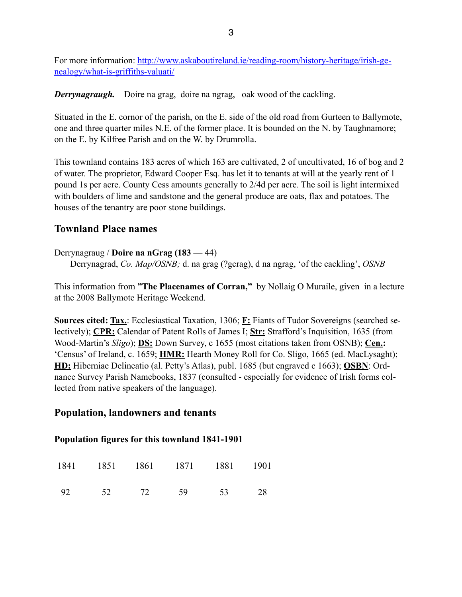[For more information: http://www.askaboutireland.ie/reading-room/history-heritage/irish-ge](http://www.askaboutireland.ie/reading-room/history-heritage/irish-genealogy/what-is-griffiths-valuati/)nealogy/what-is-griffiths-valuati/

**Derrynagraugh.** Doire na grag, doire na ngrag, oak wood of the cackling.

Situated in the E. cornor of the parish, on the E. side of the old road from Gurteen to Ballymote, one and three quarter miles N.E. of the former place. It is bounded on the N. by Taughnamore; on the E. by Kilfree Parish and on the W. by Drumrolla.

This townland contains 183 acres of which 163 are cultivated, 2 of uncultivated, 16 of bog and 2 of water. The proprietor, Edward Cooper Esq. has let it to tenants at will at the yearly rent of 1 pound 1s per acre. County Cess amounts generally to 2/4d per acre. The soil is light intermixed with boulders of lime and sandstone and the general produce are oats, flax and potatoes. The houses of the tenantry are poor stone buildings.

## **Townland Place names**

#### Derrynagraug / **Doire na nGrag (183** — 44)

Derrynagrad, *Co. Map/OSNB;* d. na grag (?gcrag), d na ngrag, 'of the cackling', *OSNB*

This information from **"The Placenames of Corran,"** by Nollaig O Muraile, given in a lecture at the 2008 Ballymote Heritage Weekend.

**Sources cited: Tax.**: Ecclesiastical Taxation, 1306; **F:** Fiants of Tudor Sovereigns (searched selectively); **CPR:** Calendar of Patent Rolls of James I; **Str:** Strafford's Inquisition, 1635 (from Wood-Martin's *Sligo*); **DS:** Down Survey, c 1655 (most citations taken from OSNB); **Cen.:** 'Census' of Ireland, c. 1659; **HMR:** Hearth Money Roll for Co. Sligo, 1665 (ed. MacLysaght); **HD:** Hiberniae Delineatio (al. Petty's Atlas), publ. 1685 (but engraved c 1663); **OSBN**: Ordnance Survey Parish Namebooks, 1837 (consulted - especially for evidence of Irish forms collected from native speakers of the language).

## **Population, landowners and tenants**

## **Population figures for this townland 1841-1901**

|    |       | 1841 1851 1861 1871 1881 1901 |    |     |
|----|-------|-------------------------------|----|-----|
| 92 | 52 72 | 59                            | 53 | -28 |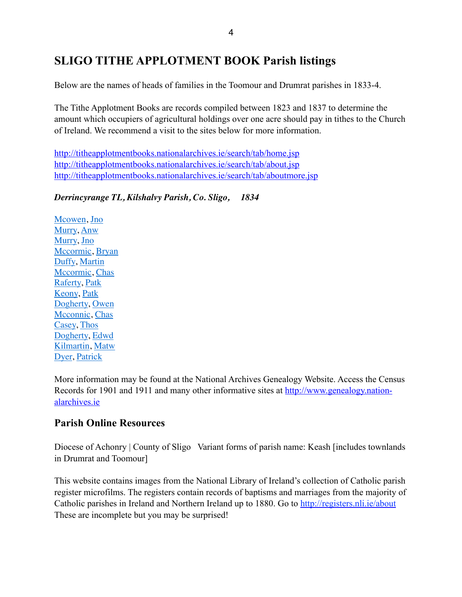# **SLIGO TITHE APPLOTMENT BOOK Parish listings**

Below are the names of heads of families in the Toomour and Drumrat parishes in 1833-4.

The Tithe Applotment Books are records compiled between 1823 and 1837 to determine the amount which occupiers of agricultural holdings over one acre should pay in tithes to the Church of Ireland. We recommend a visit to the sites below for more information.

<http://titheapplotmentbooks.nationalarchives.ie/search/tab/home.jsp> <http://titheapplotmentbooks.nationalarchives.ie/search/tab/about.jsp> <http://titheapplotmentbooks.nationalarchives.ie/search/tab/aboutmore.jsp>

*Derrincyrange TL, Kilshalvy Parish, Co. Sligo, 1834*

[Mcowen,](http://titheapplotmentbooks.nationalarchives.ie/reels/tab//004625686/004625686_00727.pdf) [Jno](http://titheapplotmentbooks.nationalarchives.ie/reels/tab//004625686/004625686_00727.pdf) [Murry,](http://titheapplotmentbooks.nationalarchives.ie/reels/tab//004625686/004625686_00727.pdf) [Anw](http://titheapplotmentbooks.nationalarchives.ie/reels/tab//004625686/004625686_00727.pdf) [Murry,](http://titheapplotmentbooks.nationalarchives.ie/reels/tab//004625686/004625686_00727.pdf) [Jno](http://titheapplotmentbooks.nationalarchives.ie/reels/tab//004625686/004625686_00727.pdf) [Mccormic](http://titheapplotmentbooks.nationalarchives.ie/reels/tab//004625686/004625686_00727.pdf), [Bryan](http://titheapplotmentbooks.nationalarchives.ie/reels/tab//004625686/004625686_00727.pdf) [Duffy,](http://titheapplotmentbooks.nationalarchives.ie/reels/tab//004625686/004625686_00727.pdf) [Martin](http://titheapplotmentbooks.nationalarchives.ie/reels/tab//004625686/004625686_00727.pdf) [Mccormic](http://titheapplotmentbooks.nationalarchives.ie/reels/tab//004625686/004625686_00727.pdf), [Chas](http://titheapplotmentbooks.nationalarchives.ie/reels/tab//004625686/004625686_00727.pdf) [Raferty, Patk](http://titheapplotmentbooks.nationalarchives.ie/reels/tab//004625686/004625686_00727.pdf) [Keony, Patk](http://titheapplotmentbooks.nationalarchives.ie/reels/tab//004625686/004625686_00727.pdf) [Dogherty,](http://titheapplotmentbooks.nationalarchives.ie/reels/tab//004625686/004625686_00727.pdf) [Owen](http://titheapplotmentbooks.nationalarchives.ie/reels/tab//004625686/004625686_00727.pdf) [Mcconnic,](http://titheapplotmentbooks.nationalarchives.ie/reels/tab//004625686/004625686_00727.pdf) [Chas](http://titheapplotmentbooks.nationalarchives.ie/reels/tab//004625686/004625686_00727.pdf) [Casey, Thos](http://titheapplotmentbooks.nationalarchives.ie/reels/tab//004625686/004625686_00727.pdf) [Dogherty,](http://titheapplotmentbooks.nationalarchives.ie/reels/tab//004625686/004625686_00727.pdf) [Edwd](http://titheapplotmentbooks.nationalarchives.ie/reels/tab//004625686/004625686_00727.pdf) [Kilmartin,](http://titheapplotmentbooks.nationalarchives.ie/reels/tab//004625686/004625686_00727.pdf) [Matw](http://titheapplotmentbooks.nationalarchives.ie/reels/tab//004625686/004625686_00727.pdf) [Dyer,](http://titheapplotmentbooks.nationalarchives.ie/reels/tab//004625686/004625686_00727.pdf) [Patrick](http://titheapplotmentbooks.nationalarchives.ie/reels/tab//004625686/004625686_00727.pdf)

More information may be found at the National Archives Genealogy Website. Access the Census [Records for 1901 and 1911 and many other informative sites at http://www.genealogy.nation](http://www.genealogy.nationalarchives.ie)alarchives.ie

## **Parish Online Resources**

Diocese of Achonry | County of Sligo Variant forms of parish name: Keash [includes townlands] in Drumrat and Toomour]

This website contains images from the National Library of Ireland's collection of Catholic parish register microfilms. The registers contain records of baptisms and marriages from the majority of Catholic parishes in Ireland and Northern Ireland up to 1880. Go to <http://registers.nli.ie/about> These are incomplete but you may be surprised!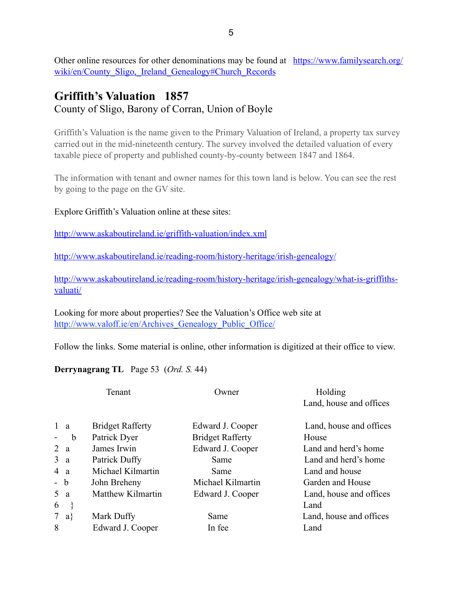[Other online resources for other denominations may be found at https://www.familysearch.org/](https://www.familysearch.org/wiki/en/County_Sligo,_Ireland_Genealogy#Church_Records) wiki/en/County Sligo, Ireland Genealogy#Church Records

## **Griffith's Valuation 1857** County of Sligo, Barony of Corran, Union of Boyle

Griffith's Valuation is the name given to the Primary Valuation of Ireland, a property tax survey carried out in the mid-nineteenth century. The survey involved the detailed valuation of every taxable piece of property and published county-by-county between 1847 and 1864.

The information with tenant and owner names for this town land is below. You can see the rest by going to the page on the GV site.

#### Explore Griffith's Valuation online at these sites:

<http://www.askaboutireland.ie/griffith-valuation/index.xml>

<http://www.askaboutireland.ie/reading-room/history-heritage/irish-genealogy/>

[http://www.askaboutireland.ie/reading-room/history-heritage/irish-genealogy/what-is-griffiths](http://www.askaboutireland.ie/reading-room/history-heritage/irish-genealogy/what-is-griffiths-valuati/)valuati/

Looking for more about properties? See the Valuation's Office web site at http://www.valoff.ie/en/Archives Genealogy Public Office/

Follow the links. Some material is online, other information is digitized at their office to view.

#### **Derrynagrang TL** Page 53 (*Ord. S.* 44)

| Tenant         |                         | Owner                   | Holding                 |  |  |
|----------------|-------------------------|-------------------------|-------------------------|--|--|
|                |                         |                         | Land, house and offices |  |  |
| 1 <sub>a</sub> | <b>Bridget Rafferty</b> | Edward J. Cooper        | Land, house and offices |  |  |
| b<br>-         | Patrick Dyer            | <b>Bridget Rafferty</b> | House                   |  |  |
| 2a             | James Irwin             | Edward J. Cooper        | Land and herd's home    |  |  |
| 3a             | Patrick Duffy           | Same                    | Land and herd's home    |  |  |
| 4 a            | Michael Kilmartin       | Same                    | Land and house          |  |  |
| - b            | John Breheny            | Michael Kilmartin       | Garden and House        |  |  |
| 5a             | Matthew Kilmartin       | Edward J. Cooper        | Land, house and offices |  |  |
| 6              |                         |                         | Land                    |  |  |
| 7 $a$ }        | Mark Duffy              | Same                    | Land, house and offices |  |  |
| 8              | Edward J. Cooper        | In fee                  | Land                    |  |  |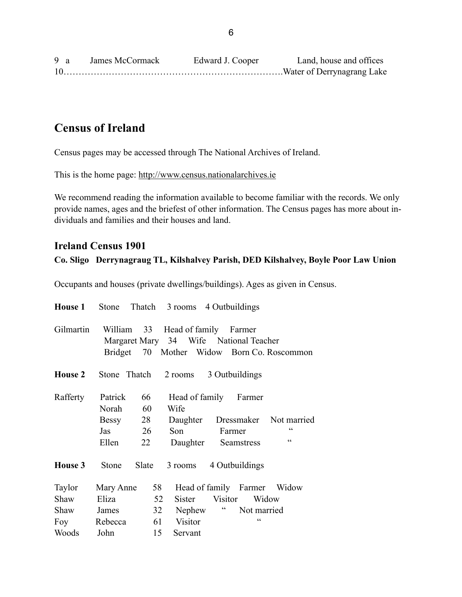| 9 a | James McCormack | Edward J. Cooper | Land, house and offices |
|-----|-----------------|------------------|-------------------------|
|     |                 |                  |                         |

# **Census of Ireland**

Census pages may be accessed through The National Archives of Ireland.

This is the home page: <http://www.census.nationalarchives.ie>

We recommend reading the information available to become familiar with the records. We only provide names, ages and the briefest of other information. The Census pages has more about individuals and families and their houses and land.

## **Ireland Census 1901**

#### **Co. Sligo Derrynagraug TL, Kilshalvey Parish, DED Kilshalvey, Boyle Poor Law Union**

Occupants and houses (private dwellings/buildings). Ages as given in Census.

| <b>House 1</b>                         |                                                |                            |                                                      | Stone Thatch 3 rooms 4 Outbuildings                                                                           |                   |
|----------------------------------------|------------------------------------------------|----------------------------|------------------------------------------------------|---------------------------------------------------------------------------------------------------------------|-------------------|
| Gilmartin                              | William 33                                     |                            |                                                      | Head of family Farmer<br>Margaret Mary 34 Wife National Teacher<br>Bridget 70 Mother Widow Born Co. Roscommon |                   |
| <b>House 2</b>                         | Stone Thatch                                   |                            |                                                      | 2 rooms 3 Outbuildings                                                                                        |                   |
| Rafferty                               | Patrick<br>Norah<br>Bessy 28<br>Jas<br>Ellen   | 66<br>60<br>26<br>22       | Wife<br>Son                                          | Head of family Farmer<br>Daughter Dressmaker Not married<br>Farmer<br>Daughter Seamstress                     | $\epsilon$<br>C C |
| House 3                                | Stone                                          | Slate                      | 3 rooms                                              | 4 Outbuildings                                                                                                |                   |
| Taylor<br>Shaw<br>Shaw<br>Foy<br>Woods | Mary Anne<br>Eliza<br>James<br>Rebecca<br>John | 58<br>52<br>32<br>61<br>15 | <b>Sister</b><br>Nephew<br><b>Visitor</b><br>Servant | Head of family Farmer Widow<br>Visitor<br>Widow<br>$\epsilon$<br>Not married<br>$\epsilon$                    |                   |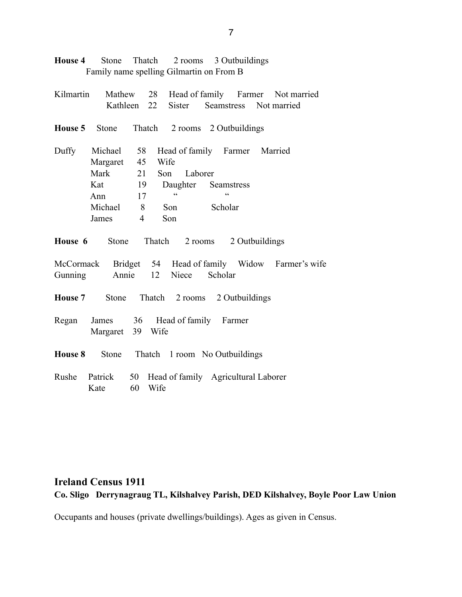**House 4** Stone Thatch 2 rooms 3 Outbuildings Family name spelling Gilmartin on From B

| Kilmartin |                                                        |                |                    |         |                               |  | Mathew 28 Head of family Farmer Not married             |
|-----------|--------------------------------------------------------|----------------|--------------------|---------|-------------------------------|--|---------------------------------------------------------|
|           |                                                        |                | Kathleen 22 Sister |         |                               |  | Seamstress Not married                                  |
|           | <b>House 5</b> Stone Thatch 2 rooms 2 Outbuildings     |                |                    |         |                               |  |                                                         |
| Duffy     | Michael 58                                             |                |                    |         | Head of family Farmer Married |  |                                                         |
|           | Margaret 45                                            |                | Wife               |         |                               |  |                                                         |
|           | Mark                                                   | 21             | Son                | Laborer |                               |  |                                                         |
|           | Kat 19                                                 |                |                    |         | Daughter Seamstress           |  |                                                         |
|           | Ann                                                    | 17             | $\epsilon$         |         | $\epsilon$                    |  |                                                         |
|           | Michael 8                                              |                | Son                |         | Scholar                       |  |                                                         |
|           | James                                                  | $\overline{4}$ | Son                |         |                               |  |                                                         |
|           | <b>House 6</b> Stone Thatch 2 rooms 2 Outbuildings     |                |                    |         |                               |  |                                                         |
|           |                                                        |                |                    |         |                               |  | McCormack Bridget 54 Head of family Widow Farmer's wife |
| Gunning   |                                                        |                | Annie 12 Niece     |         | Scholar                       |  |                                                         |
|           | House 7 Stone Thatch 2 rooms 2 Outbuildings            |                |                    |         |                               |  |                                                         |
| Regan     | James 36 Head of family Farmer<br>Margaret 39 Wife     |                |                    |         |                               |  |                                                         |
|           | <b>House 8</b> Stone Thatch 1 room No Outbuildings     |                |                    |         |                               |  |                                                         |
| Rushe     | Patrick 50 Head of family Agricultural Laborer<br>Kate | 60             | Wife               |         |                               |  |                                                         |

## **Ireland Census 1911 Co. Sligo Derrynagraug TL, Kilshalvey Parish, DED Kilshalvey, Boyle Poor Law Union**

Occupants and houses (private dwellings/buildings). Ages as given in Census.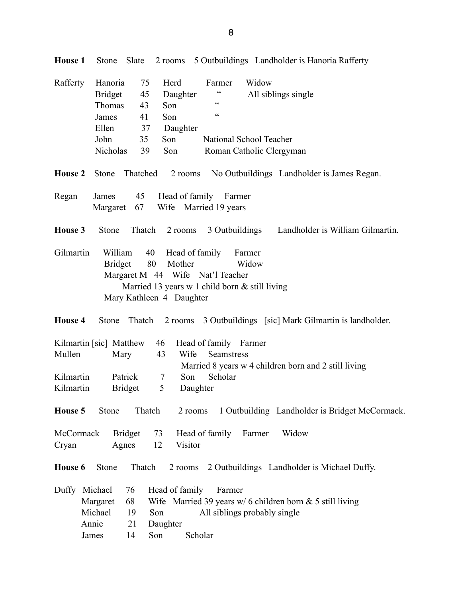| Rafferty               | Hanoria<br><b>Bridget</b><br>Thomas<br>James           | 75<br>45<br>43<br>41       | Herd<br>Daughter<br>Son<br>Son                                                                                                                        | Farmer<br>$\zeta \, \zeta$<br>$\pmb{\zeta}$ $\pmb{\zeta}$ | Widow           | All siblings single                                                     |
|------------------------|--------------------------------------------------------|----------------------------|-------------------------------------------------------------------------------------------------------------------------------------------------------|-----------------------------------------------------------|-----------------|-------------------------------------------------------------------------|
|                        | Ellen<br>John<br>Nicholas                              | 37<br>35<br>39             | Daughter<br>Son<br>Son                                                                                                                                | National School Teacher<br>Roman Catholic Clergyman       |                 |                                                                         |
|                        | House 2 Stone                                          |                            |                                                                                                                                                       |                                                           |                 | Thatched 2 rooms No Outbuildings Landholder is James Regan.             |
| Regan                  | James                                                  |                            | 45 Head of family Farmer<br>Margaret 67 Wife Married 19 years                                                                                         |                                                           |                 |                                                                         |
| House 3                | Stone                                                  |                            |                                                                                                                                                       |                                                           |                 | Thatch 2 rooms 3 Outbuildings Landholder is William Gilmartin.          |
| Gilmartin              | William<br><b>Bridget</b>                              |                            | 40 Head of family<br>80<br>Mother<br>Margaret M 44 Wife Nat'l Teacher<br>Married 13 years w 1 child born $&$ still living<br>Mary Kathleen 4 Daughter |                                                           | Farmer<br>Widow |                                                                         |
| <b>House 4</b>         |                                                        |                            |                                                                                                                                                       |                                                           |                 | Stone Thatch 2 rooms 3 Outbuildings [sic] Mark Gilmartin is landholder. |
| Mullen                 | Kilmartin [sic] Matthew                                | Mary                       | 46<br>43<br>Wife                                                                                                                                      | Head of family Farmer<br>Seamstress                       |                 | Married 8 years w 4 children born and 2 still living                    |
| Kilmartin<br>Kilmartin |                                                        | Patrick<br><b>Bridget</b>  | Son<br>$\tau$<br>5 <sup>5</sup><br>Daughter                                                                                                           | Scholar                                                   |                 |                                                                         |
|                        | <b>House 5</b> Stone Thatch                            |                            |                                                                                                                                                       |                                                           |                 | 2 rooms 1 Outbuilding Landholder is Bridget McCormack.                  |
| McCormack<br>Cryan     |                                                        | <b>Bridget</b><br>Agnes    | 73<br>12<br>Visitor                                                                                                                                   | Head of family                                            | Farmer          | Widow                                                                   |
| House 6                | Stone                                                  | Thatch                     |                                                                                                                                                       |                                                           |                 | 2 rooms 2 Outbuildings Landholder is Michael Duffy.                     |
|                        | Duffy Michael<br>Margaret<br>Michael<br>Annie<br>James | 76<br>68<br>19<br>21<br>14 | Head of family<br>Son<br>Daughter<br>Son<br>Scholar                                                                                                   | Farmer<br>All siblings probably single                    |                 | Wife Married 39 years w/ 6 children born $& 5$ still living             |

**House 1** Stone Slate 2 rooms 5 Outbuildings Landholder is Hanoria Rafferty